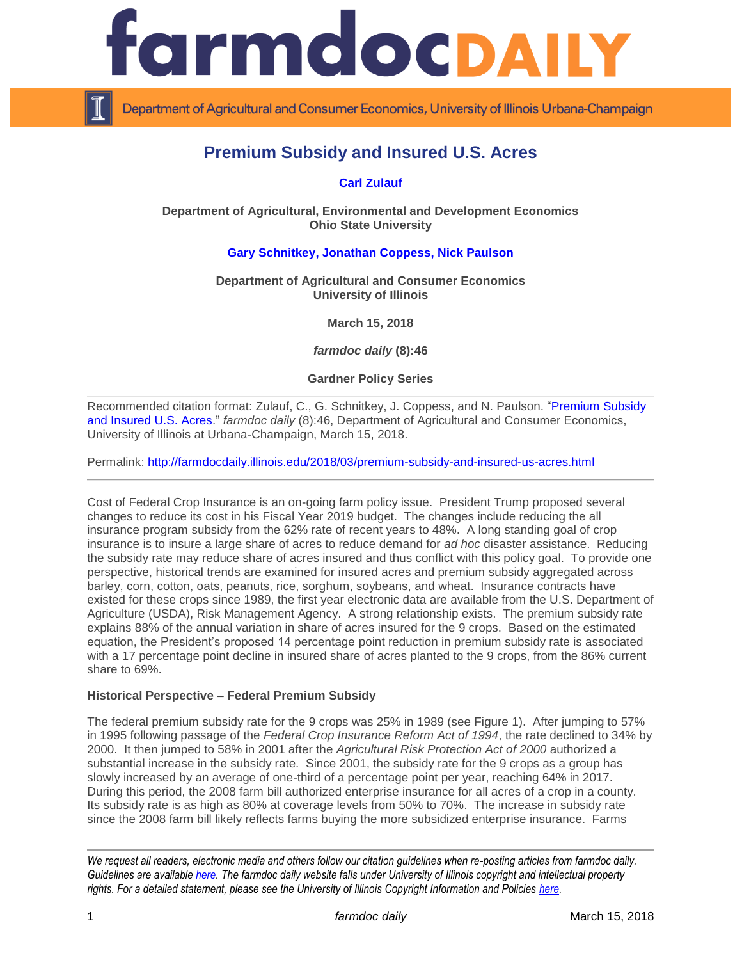

Department of Agricultural and Consumer Economics, University of Illinois Urbana-Champaign

# **Premium Subsidy and Insured U.S. Acres**

**[Carl Zulauf](http://aede.osu.edu/our-people/carl-zulauf)**

**Department of Agricultural, Environmental and Development Economics Ohio State University**

# **[Gary Schnitkey,](http://farmdoc.illinois.edu/schnitkey) [Jonathan Coppess,](http://farmdoc.illinois.edu/coppess) [Nick Paulson](http://farmdoc.illinois.edu/paulson)**

**Department of Agricultural and Consumer Economics University of Illinois**

**March 15, 2018**

*farmdoc daily* **(8):46**

## **Gardner Policy Series**

Recommended citation format: Zulauf, C., G. Schnitkey, J. Coppess, and N. Paulson. ["Premium Subsidy](http://farmdocdaily.illinois.edu/2018/03/premium-subsidy-and-insured-us-acres.html)  [and Insured U.S. Acres.](http://farmdocdaily.illinois.edu/2018/03/premium-subsidy-and-insured-us-acres.html)" *farmdoc daily* (8):46, Department of Agricultural and Consumer Economics, University of Illinois at Urbana-Champaign, March 15, 2018.

Permalink:<http://farmdocdaily.illinois.edu/2018/03/premium-subsidy-and-insured-us-acres.html>

Cost of Federal Crop Insurance is an on-going farm policy issue. President Trump proposed several changes to reduce its cost in his Fiscal Year 2019 budget. The changes include reducing the all insurance program subsidy from the 62% rate of recent years to 48%. A long standing goal of crop insurance is to insure a large share of acres to reduce demand for *ad hoc* disaster assistance. Reducing the subsidy rate may reduce share of acres insured and thus conflict with this policy goal. To provide one perspective, historical trends are examined for insured acres and premium subsidy aggregated across barley, corn, cotton, oats, peanuts, rice, sorghum, soybeans, and wheat. Insurance contracts have existed for these crops since 1989, the first year electronic data are available from the U.S. Department of Agriculture (USDA), Risk Management Agency. A strong relationship exists. The premium subsidy rate explains 88% of the annual variation in share of acres insured for the 9 crops. Based on the estimated equation, the President's proposed 14 percentage point reduction in premium subsidy rate is associated with a 17 percentage point decline in insured share of acres planted to the 9 crops, from the 86% current share to 69%.

#### **Historical Perspective – Federal Premium Subsidy**

The federal premium subsidy rate for the 9 crops was 25% in 1989 (see Figure 1). After jumping to 57% in 1995 following passage of the *Federal Crop Insurance Reform Act of 1994*, the rate declined to 34% by 2000. It then jumped to 58% in 2001 after the *Agricultural Risk Protection Act of 2000* authorized a substantial increase in the subsidy rate. Since 2001, the subsidy rate for the 9 crops as a group has slowly increased by an average of one-third of a percentage point per year, reaching 64% in 2017. During this period, the 2008 farm bill authorized enterprise insurance for all acres of a crop in a county. Its subsidy rate is as high as 80% at coverage levels from 50% to 70%. The increase in subsidy rate since the 2008 farm bill likely reflects farms buying the more subsidized enterprise insurance. Farms

*We request all readers, electronic media and others follow our citation guidelines when re-posting articles from farmdoc daily. Guidelines are available [here.](http://farmdocdaily.illinois.edu/citationguide.html) The farmdoc daily website falls under University of Illinois copyright and intellectual property rights. For a detailed statement, please see the University of Illinois Copyright Information and Policies [here.](http://www.cio.illinois.edu/policies/copyright/)*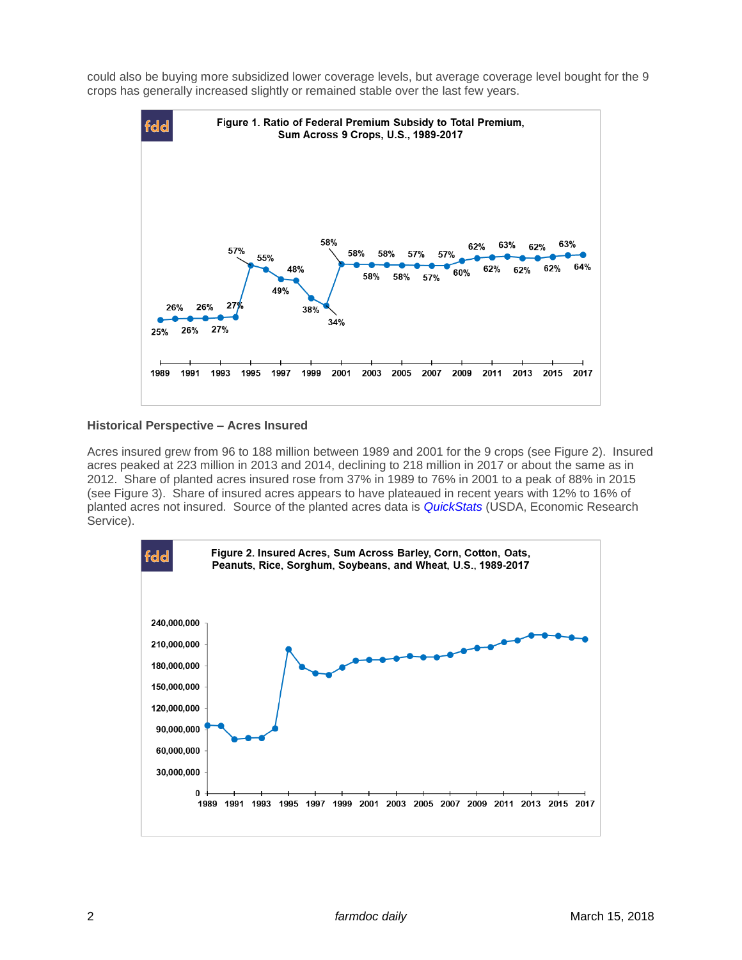could also be buying more subsidized lower coverage levels, but average coverage level bought for the 9 crops has generally increased slightly or remained stable over the last few years.



#### **Historical Perspective – Acres Insured**

Acres insured grew from 96 to 188 million between 1989 and 2001 for the 9 crops (see Figure 2). Insured acres peaked at 223 million in 2013 and 2014, declining to 218 million in 2017 or about the same as in 2012. Share of planted acres insured rose from 37% in 1989 to 76% in 2001 to a peak of 88% in 2015 (see Figure 3). Share of insured acres appears to have plateaued in recent years with 12% to 16% of planted acres not insured. Source of the planted acres data is *[QuickStats](https://quickstats.nass.usda.gov/)* (USDA, Economic Research Service).

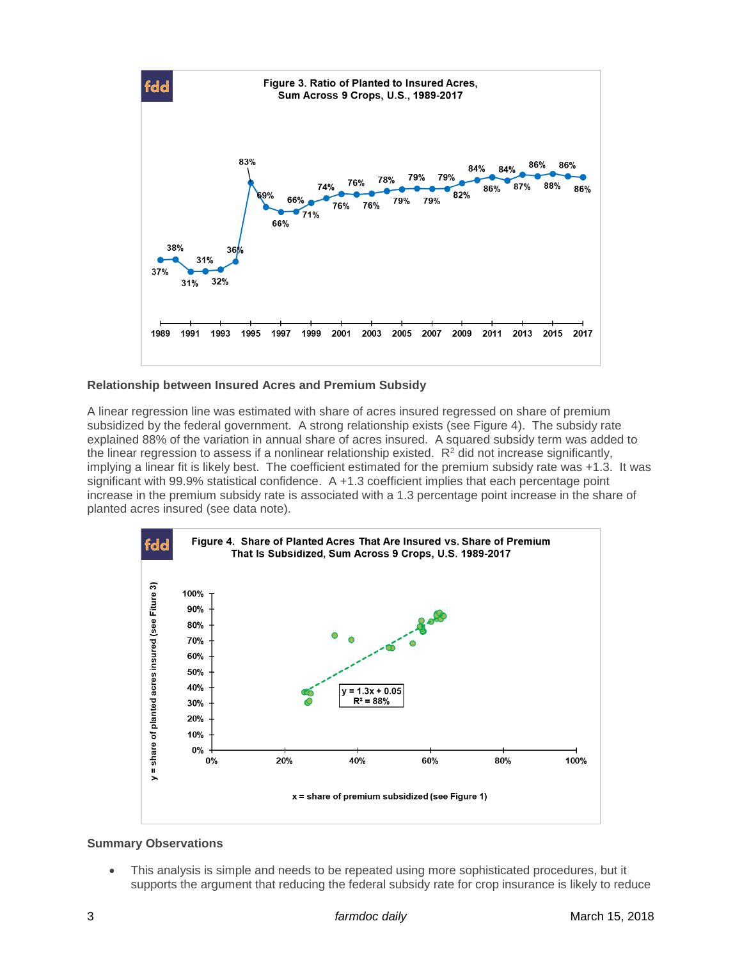

## **Relationship between Insured Acres and Premium Subsidy**

A linear regression line was estimated with share of acres insured regressed on share of premium subsidized by the federal government. A strong relationship exists (see Figure 4). The subsidy rate explained 88% of the variation in annual share of acres insured. A squared subsidy term was added to the linear regression to assess if a nonlinear relationship existed.  $R<sup>2</sup>$  did not increase significantly, implying a linear fit is likely best. The coefficient estimated for the premium subsidy rate was +1.3. It was significant with 99.9% statistical confidence. A +1.3 coefficient implies that each percentage point increase in the premium subsidy rate is associated with a 1.3 percentage point increase in the share of planted acres insured (see data note).



## **Summary Observations**

 This analysis is simple and needs to be repeated using more sophisticated procedures, but it supports the argument that reducing the federal subsidy rate for crop insurance is likely to reduce